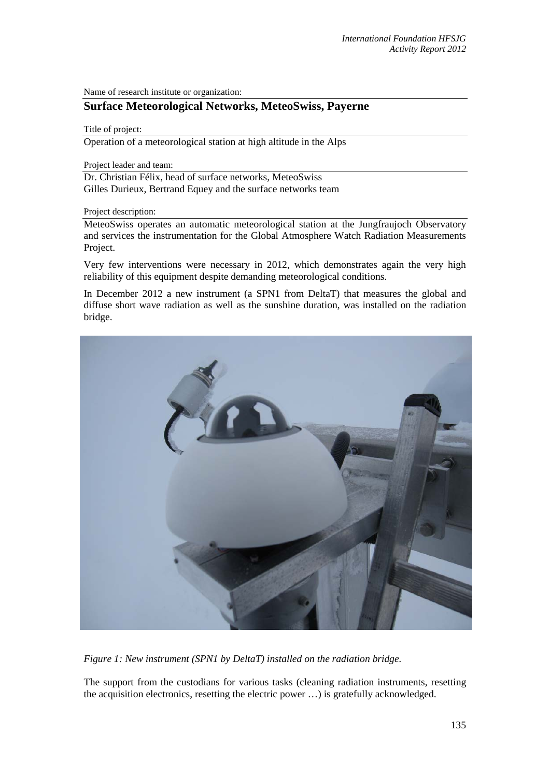Name of research institute or organization:

## **Surface Meteorological Networks, MeteoSwiss, Payerne**

## Title of project:

Operation of a meteorological station at high altitude in the Alps

Project leader and team:

Dr. Christian Félix, head of surface networks, MeteoSwiss Gilles Durieux, Bertrand Equey and the surface networks team

## Project description:

MeteoSwiss operates an automatic meteorological station at the Jungfraujoch Observatory and services the instrumentation for the Global Atmosphere Watch Radiation Measurements Project.

Very few interventions were necessary in 2012, which demonstrates again the very high reliability of this equipment despite demanding meteorological conditions.

In December 2012 a new instrument (a SPN1 from DeltaT) that measures the global and diffuse short wave radiation as well as the sunshine duration, was installed on the radiation bridge.



*Figure 1: New instrument (SPN1 by DeltaT) installed on the radiation bridge.* 

The support from the custodians for various tasks (cleaning radiation instruments, resetting the acquisition electronics, resetting the electric power …) is gratefully acknowledged.